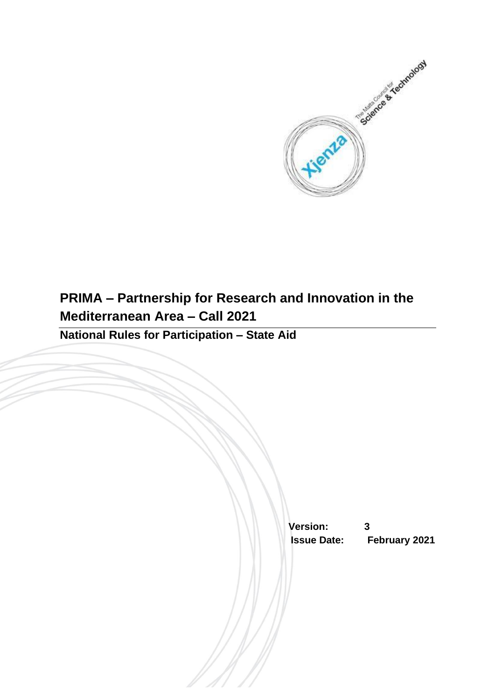

# **PRIMA – Partnership for Research and Innovation in the Mediterranean Area – Call 2021**

**National Rules for Participation – State Aid**

 **Version: 3 Issue Date: February 2021**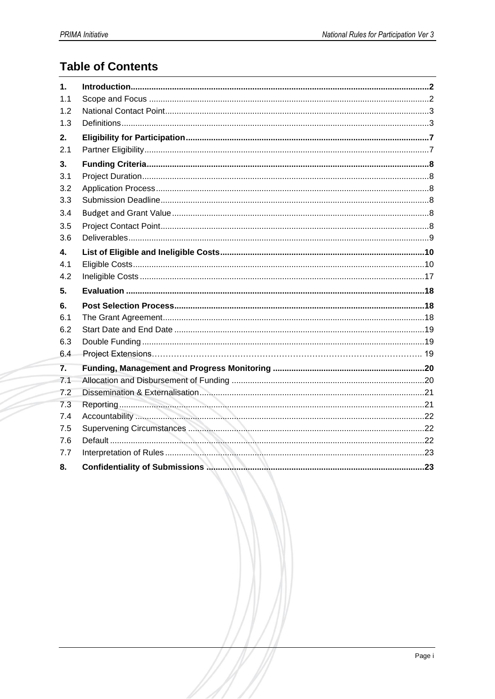## **Table of Contents**

| $\mathbf{1}$ . |  |
|----------------|--|
| 1.1            |  |
| 1.2            |  |
| 1.3            |  |
| 2.             |  |
| 2.1            |  |
| 3.             |  |
| 3.1            |  |
| 3.2            |  |
| 3.3            |  |
| 3.4            |  |
| 3.5            |  |
| 3.6            |  |
| 4.             |  |
| 4.1            |  |
| 4.2            |  |
| 5.             |  |
|                |  |
| 6.             |  |
| 6.1            |  |
| 6.2            |  |
| 6.3            |  |
| 6.4            |  |
| 7.             |  |
| 7.1            |  |
| 7.2            |  |
| 7.3            |  |
| 7.4            |  |
| 7.5            |  |
| 7.6            |  |
| 7.7            |  |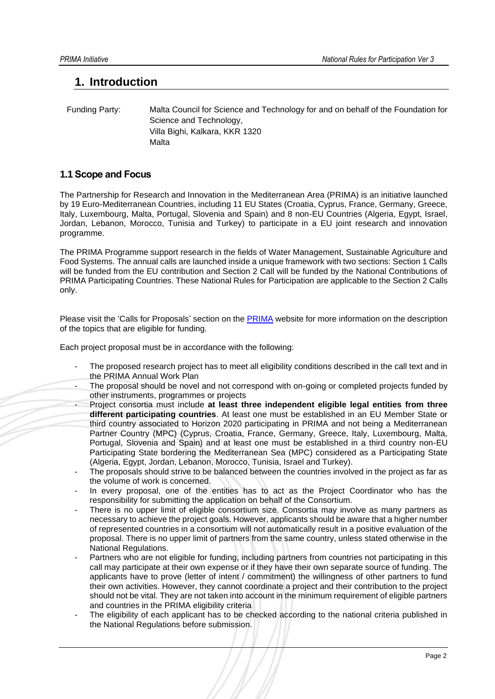### <span id="page-2-0"></span>**1. Introduction**

 Funding Party: Malta Council for Science and Technology for and on behalf of the Foundation for Science and Technology, Villa Bighi, Kalkara, KKR 1320 Malta

#### <span id="page-2-1"></span>**1.1 Scope and Focus**

The Partnership for Research and Innovation in the Mediterranean Area (PRIMA) is an initiative launched by 19 Euro-Mediterranean Countries, including 11 EU States (Croatia, Cyprus, France, Germany, Greece, Italy, Luxembourg, Malta, Portugal, Slovenia and Spain) and 8 non-EU Countries (Algeria, Egypt, Israel, Jordan, Lebanon, Morocco, Tunisia and Turkey) to participate in a EU joint research and innovation programme.

The PRIMA Programme support research in the fields of Water Management, Sustainable Agriculture and Food Systems. The annual calls are launched inside a unique framework with two sections: Section 1 Calls will be funded from the EU contribution and Section 2 Call will be funded by the National Contributions of PRIMA Participating Countries. These National Rules for Participation are applicable to the Section 2 Calls only.

Please visit the 'Calls for Proposals' section on the [PRIMA](https://prima-med.org/) website for more information on the description of the topics that are eligible for funding.

Each project proposal must be in accordance with the following:

- The proposed research project has to meet all eligibility conditions described in the call text and in the PRIMA Annual Work Plan
- The proposal should be novel and not correspond with on-going or completed projects funded by other instruments, programmes or projects
- Project consortia must include **at least three independent eligible legal entities from three different participating countries**. At least one must be established in an EU Member State or third country associated to Horizon 2020 participating in PRIMA and not being a Mediterranean Partner Country (MPC) (Cyprus, Croatia, France, Germany, Greece, Italy, Luxembourg, Malta, Portugal, Slovenia and Spain) and at least one must be established in a third country non-EU Participating State bordering the Mediterranean Sea (MPC) considered as a Participating State (Algeria, Egypt, Jordan, Lebanon, Morocco, Tunisia, Israel and Turkey).
- The proposals should strive to be balanced between the countries involved in the project as far as the volume of work is concerned.
- In every proposal, one of the entities has to act as the Project Coordinator who has the responsibility for submitting the application on behalf of the Consortium.
- There is no upper limit of eligible consortium size. Consortia may involve as many partners as necessary to achieve the project goals. However, applicants should be aware that a higher number of represented countries in a consortium will not automatically result in a positive evaluation of the proposal. There is no upper limit of partners from the same country, unless stated otherwise in the National Regulations.
- Partners who are not eligible for funding, including partners from countries not participating in this call may participate at their own expense or if they have their own separate source of funding. The applicants have to prove (letter of intent / commitment) the willingness of other partners to fund their own activities. However, they cannot coordinate a project and their contribution to the project should not be vital. They are not taken into account in the minimum requirement of eligible partners and countries in the PRIMA eligibility criteria
- The eligibility of each applicant has to be checked according to the national criteria published in the National Regulations before submission.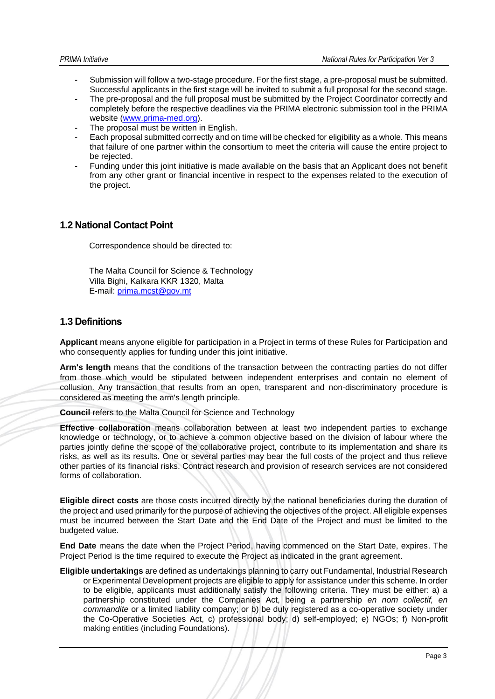- Submission will follow a two-stage procedure. For the first stage, a pre-proposal must be submitted. Successful applicants in the first stage will be invited to submit a full proposal for the second stage.
- The pre-proposal and the full proposal must be submitted by the Project Coordinator correctly and completely before the respective deadlines via the PRIMA electronic submission tool in the PRIMA website [\(www.prima-med.org\)](http://www.prima-med.org/).
- The proposal must be written in English.
- Each proposal submitted correctly and on time will be checked for eligibility as a whole. This means that failure of one partner within the consortium to meet the criteria will cause the entire project to be rejected.
- Funding under this joint initiative is made available on the basis that an Applicant does not benefit from any other grant or financial incentive in respect to the expenses related to the execution of the project.

#### <span id="page-3-0"></span>**1.2 National Contact Point**

Correspondence should be directed to:

The Malta Council for Science & Technology Villa Bighi, Kalkara KKR 1320, Malta E-mail: [prima.mcst@gov.mt](mailto:prima.mcst@gov.mt)

#### <span id="page-3-1"></span>**1.3 Definitions**

**Applicant** means anyone eligible for participation in a Project in terms of these Rules for Participation and who consequently applies for funding under this joint initiative.

**Arm's length** means that the conditions of the transaction between the contracting parties do not differ from those which would be stipulated between independent enterprises and contain no element of collusion. Any transaction that results from an open, transparent and non-discriminatory procedure is considered as meeting the arm's length principle.

**Council** refers to the Malta Council for Science and Technology

**Effective collaboration** means collaboration between at least two independent parties to exchange knowledge or technology, or to achieve a common objective based on the division of labour where the parties jointly define the scope of the collaborative project, contribute to its implementation and share its risks, as well as its results. One or several parties may bear the full costs of the project and thus relieve other parties of its financial risks. Contract research and provision of research services are not considered forms of collaboration.

**Eligible direct costs** are those costs incurred directly by the national beneficiaries during the duration of the project and used primarily for the purpose of achieving the objectives of the project. All eligible expenses must be incurred between the Start Date and the End Date of the Project and must be limited to the budgeted value.

**End Date** means the date when the Project Period, having commenced on the Start Date, expires. The Project Period is the time required to execute the Project as indicated in the grant agreement.

**Eligible undertakings** are defined as undertakings planning to carry out Fundamental, Industrial Research or Experimental Development projects are eligible to apply for assistance under this scheme. In order to be eligible, applicants must additionally satisfy the following criteria. They must be either: a) a partnership constituted under the Companies Act, being a partnership *en nom collectif, en commandite* or a limited liability company; or b) be duly registered as a co-operative society under the Co-Operative Societies Act, c) professional body; d) self-employed; e) NGOs; f) Non-profit making entities (including Foundations).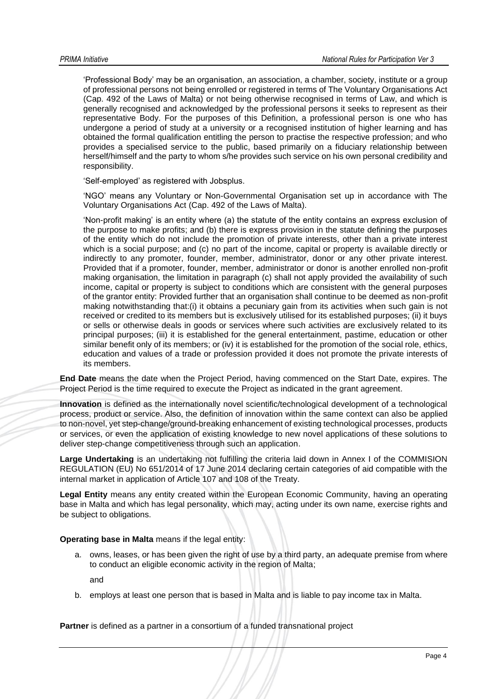'Professional Body' may be an organisation, an association, a chamber, society, institute or a group of professional persons not being enrolled or registered in terms of The Voluntary Organisations Act (Cap. 492 of the Laws of Malta) or not being otherwise recognised in terms of Law, and which is generally recognised and acknowledged by the professional persons it seeks to represent as their representative Body. For the purposes of this Definition, a professional person is one who has undergone a period of study at a university or a recognised institution of higher learning and has obtained the formal qualification entitling the person to practise the respective profession; and who provides a specialised service to the public, based primarily on a fiduciary relationship between herself/himself and the party to whom s/he provides such service on his own personal credibility and responsibility.

'Self-employed' as registered with Jobsplus.

'NGO' means any Voluntary or Non-Governmental Organisation set up in accordance with The Voluntary Organisations Act (Cap. 492 of the Laws of Malta).

'Non-profit making' is an entity where (a) the statute of the entity contains an express exclusion of the purpose to make profits; and (b) there is express provision in the statute defining the purposes of the entity which do not include the promotion of private interests, other than a private interest which is a social purpose; and (c) no part of the income, capital or property is available directly or indirectly to any promoter, founder, member, administrator, donor or any other private interest. Provided that if a promoter, founder, member, administrator or donor is another enrolled non-profit making organisation, the limitation in paragraph (c) shall not apply provided the availability of such income, capital or property is subject to conditions which are consistent with the general purposes of the grantor entity: Provided further that an organisation shall continue to be deemed as non-profit making notwithstanding that:(i) it obtains a pecuniary gain from its activities when such gain is not received or credited to its members but is exclusively utilised for its established purposes; (ii) it buys or sells or otherwise deals in goods or services where such activities are exclusively related to its principal purposes; (iii) it is established for the general entertainment, pastime, education or other similar benefit only of its members; or (iv) it is established for the promotion of the social role, ethics, education and values of a trade or profession provided it does not promote the private interests of its members.

**End Date** means the date when the Project Period, having commenced on the Start Date, expires. The Project Period is the time required to execute the Project as indicated in the grant agreement.

**Innovation** is defined as the internationally novel scientific/technological development of a technological process, product or service. Also, the definition of innovation within the same context can also be applied to non-novel, yet step-change/ground-breaking enhancement of existing technological processes, products or services, or even the application of existing knowledge to new novel applications of these solutions to deliver step-change competitiveness through such an application.

**Large Undertaking** is an undertaking not fulfilling the criteria laid down in Annex I of the COMMISION REGULATION (EU) No 651/2014 of 17 June 2014 declaring certain categories of aid compatible with the internal market in application of Article 107 and 108 of the Treaty.

**Legal Entity** means any entity created within the European Economic Community, having an operating base in Malta and which has legal personality, which may, acting under its own name, exercise rights and be subject to obligations.

**Operating base in Malta** means if the legal entity:

a. owns, leases, or has been given the right of use by a third party, an adequate premise from where to conduct an eligible economic activity in the region of Malta;

and

b. employs at least one person that is based in Malta and is liable to pay income tax in Malta.

**Partner** is defined as a partner in a consortium of a funded transnational project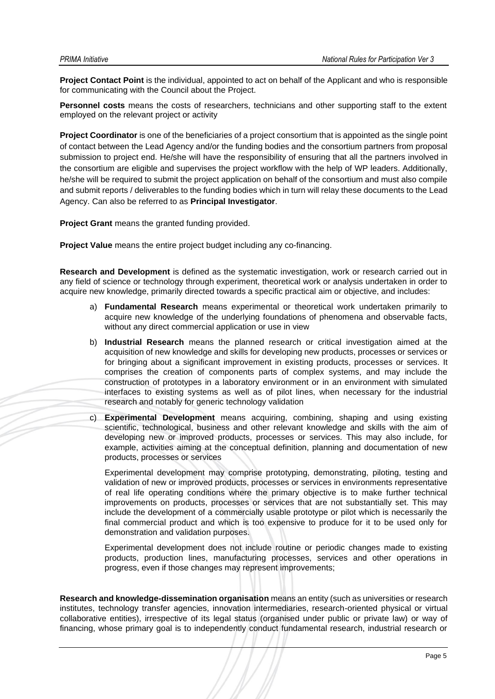**Project Contact Point** is the individual, appointed to act on behalf of the Applicant and who is responsible for communicating with the Council about the Project.

**Personnel costs** means the costs of researchers, technicians and other supporting staff to the extent employed on the relevant project or activity

**Project Coordinator** is one of the beneficiaries of a project consortium that is appointed as the single point of contact between the Lead Agency and/or the funding bodies and the consortium partners from proposal submission to project end. He/she will have the responsibility of ensuring that all the partners involved in the consortium are eligible and supervises the project workflow with the help of WP leaders. Additionally, he/she will be required to submit the project application on behalf of the consortium and must also compile and submit reports / deliverables to the funding bodies which in turn will relay these documents to the Lead Agency. Can also be referred to as **Principal Investigator**.

**Project Grant** means the granted funding provided.

**Project Value** means the entire project budget including any co-financing.

**Research and Development** is defined as the systematic investigation, work or research carried out in any field of science or technology through experiment, theoretical work or analysis undertaken in order to acquire new knowledge, primarily directed towards a specific practical aim or objective, and includes:

- a) **Fundamental Research** means experimental or theoretical work undertaken primarily to acquire new knowledge of the underlying foundations of phenomena and observable facts, without any direct commercial application or use in view
- b) **Industrial Research** means the planned research or critical investigation aimed at the acquisition of new knowledge and skills for developing new products, processes or services or for bringing about a significant improvement in existing products, processes or services. It comprises the creation of components parts of complex systems, and may include the construction of prototypes in a laboratory environment or in an environment with simulated interfaces to existing systems as well as of pilot lines, when necessary for the industrial research and notably for generic technology validation
- c) **Experimental Development** means acquiring, combining, shaping and using existing scientific, technological, business and other relevant knowledge and skills with the aim of developing new or improved products, processes or services. This may also include, for example, activities aiming at the conceptual definition, planning and documentation of new products, processes or services

Experimental development may comprise prototyping, demonstrating, piloting, testing and validation of new or improved products, processes or services in environments representative of real life operating conditions where the primary objective is to make further technical improvements on products, processes or services that are not substantially set. This may include the development of a commercially usable prototype or pilot which is necessarily the final commercial product and which is too expensive to produce for it to be used only for demonstration and validation purposes.

Experimental development does not include routine or periodic changes made to existing products, production lines, manufacturing processes, services and other operations in progress, even if those changes may represent improvements;

**Research and knowledge-dissemination organisation** means an entity (such as universities or research institutes, technology transfer agencies, innovation intermediaries, research-oriented physical or virtual collaborative entities), irrespective of its legal status (organised under public or private law) or way of financing, whose primary goal is to independently conduct fundamental research, industrial research or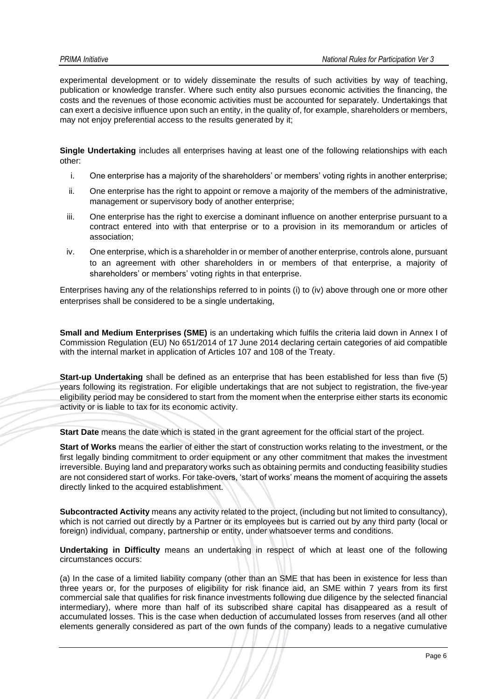experimental development or to widely disseminate the results of such activities by way of teaching, publication or knowledge transfer. Where such entity also pursues economic activities the financing, the costs and the revenues of those economic activities must be accounted for separately. Undertakings that can exert a decisive influence upon such an entity, in the quality of, for example, shareholders or members, may not enjoy preferential access to the results generated by it;

**Single Undertaking** includes all enterprises having at least one of the following relationships with each other:

- i. One enterprise has a majority of the shareholders' or members' voting rights in another enterprise;
- ii. One enterprise has the right to appoint or remove a majority of the members of the administrative, management or supervisory body of another enterprise;
- iii. One enterprise has the right to exercise a dominant influence on another enterprise pursuant to a contract entered into with that enterprise or to a provision in its memorandum or articles of association;
- iv. One enterprise, which is a shareholder in or member of another enterprise, controls alone, pursuant to an agreement with other shareholders in or members of that enterprise, a majority of shareholders' or members' voting rights in that enterprise.

Enterprises having any of the relationships referred to in points (i) to (iv) above through one or more other enterprises shall be considered to be a single undertaking,

**Small and Medium Enterprises (SME)** is an undertaking which fulfils the criteria laid down in Annex I of Commission Regulation (EU) No 651/2014 of 17 June 2014 declaring certain categories of aid compatible with the internal market in application of Articles 107 and 108 of the Treaty.

**Start-up Undertaking** shall be defined as an enterprise that has been established for less than five (5) years following its registration. For eligible undertakings that are not subject to registration, the five-year eligibility period may be considered to start from the moment when the enterprise either starts its economic activity or is liable to tax for its economic activity.

**Start Date** means the date which is stated in the grant agreement for the official start of the project.

**Start of Works** means the earlier of either the start of construction works relating to the investment, or the first legally binding commitment to order equipment or any other commitment that makes the investment irreversible. Buying land and preparatory works such as obtaining permits and conducting feasibility studies are not considered start of works. For take-overs, 'start of works' means the moment of acquiring the assets directly linked to the acquired establishment.

**Subcontracted Activity** means any activity related to the project, (including but not limited to consultancy), which is not carried out directly by a Partner or its employees but is carried out by any third party (local or foreign) individual, company, partnership or entity, under whatsoever terms and conditions.

**Undertaking in Difficulty** means an undertaking in respect of which at least one of the following circumstances occurs:

(a) In the case of a limited liability company (other than an SME that has been in existence for less than three years or, for the purposes of eligibility for risk finance aid, an SME within 7 years from its first commercial sale that qualifies for risk finance investments following due diligence by the selected financial intermediary), where more than half of its subscribed share capital has disappeared as a result of accumulated losses. This is the case when deduction of accumulated losses from reserves (and all other elements generally considered as part of the own funds of the company) leads to a negative cumulative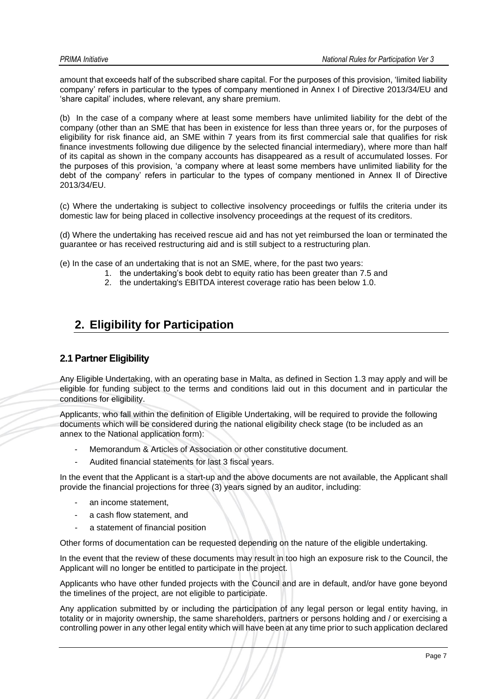amount that exceeds half of the subscribed share capital. For the purposes of this provision, 'limited liability company' refers in particular to the types of company mentioned in Annex I of Directive 2013/34/EU and 'share capital' includes, where relevant, any share premium.

(b) In the case of a company where at least some members have unlimited liability for the debt of the company (other than an SME that has been in existence for less than three years or, for the purposes of eligibility for risk finance aid, an SME within 7 years from its first commercial sale that qualifies for risk finance investments following due diligence by the selected financial intermediary), where more than half of its capital as shown in the company accounts has disappeared as a result of accumulated losses. For the purposes of this provision, 'a company where at least some members have unlimited liability for the debt of the company' refers in particular to the types of company mentioned in Annex II of Directive 2013/34/EU.

(c) Where the undertaking is subject to collective insolvency proceedings or fulfils the criteria under its domestic law for being placed in collective insolvency proceedings at the request of its creditors.

(d) Where the undertaking has received rescue aid and has not yet reimbursed the loan or terminated the guarantee or has received restructuring aid and is still subject to a restructuring plan.

(e) In the case of an undertaking that is not an SME, where, for the past two years:

- 1. the undertaking's book debt to equity ratio has been greater than 7.5 and
- 2. the undertaking's EBITDA interest coverage ratio has been below 1.0.

### <span id="page-7-0"></span>**2. Eligibility for Participation**

#### <span id="page-7-1"></span>**2.1 Partner Eligibility**

Any Eligible Undertaking, with an operating base in Malta, as defined in Section 1.3 may apply and will be eligible for funding subject to the terms and conditions laid out in this document and in particular the conditions for eligibility.

Applicants, who fall within the definition of Eligible Undertaking, will be required to provide the following documents which will be considered during the national eligibility check stage (to be included as an annex to the National application form):

- Memorandum & Articles of Association or other constitutive document.
- Audited financial statements for last 3 fiscal years.

In the event that the Applicant is a start-up and the above documents are not available, the Applicant shall provide the financial projections for three (3) years signed by an auditor, including:

- an income statement,
- a cash flow statement, and
- a statement of financial position

Other forms of documentation can be requested depending on the nature of the eligible undertaking.

In the event that the review of these documents may result in too high an exposure risk to the Council, the Applicant will no longer be entitled to participate in the project.

Applicants who have other funded projects with the Council and are in default, and/or have gone beyond the timelines of the project, are not eligible to participate.

Any application submitted by or including the participation of any legal person or legal entity having, in totality or in majority ownership, the same shareholders, partners or persons holding and / or exercising a controlling power in any other legal entity which will have been at any time prior to such application declared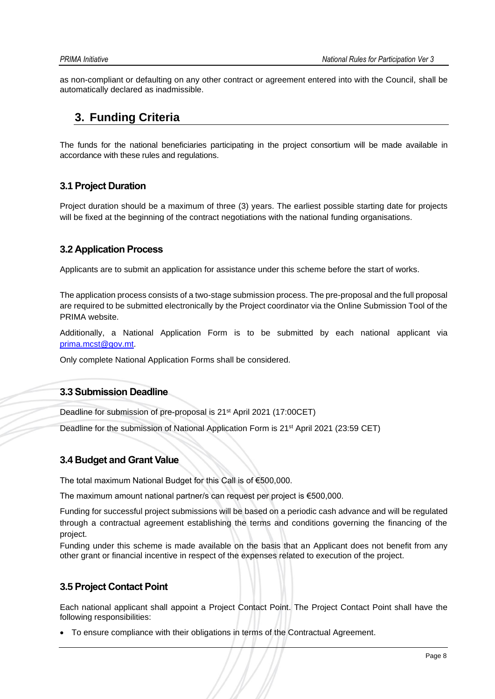as non-compliant or defaulting on any other contract or agreement entered into with the Council, shall be automatically declared as inadmissible.

### <span id="page-8-0"></span>**3. Funding Criteria**

The funds for the national beneficiaries participating in the project consortium will be made available in accordance with these rules and regulations.

#### <span id="page-8-1"></span>**3.1 Project Duration**

Project duration should be a maximum of three (3) years. The earliest possible starting date for projects will be fixed at the beginning of the contract negotiations with the national funding organisations.

#### <span id="page-8-2"></span>**3.2 Application Process**

Applicants are to submit an application for assistance under this scheme before the start of works.

The application process consists of a two-stage submission process. The pre-proposal and the full proposal are required to be submitted electronically by the Project coordinator via the Online Submission Tool of the PRIMA website.

Additionally, a National Application Form is to be submitted by each national applicant via [prima.mcst@gov.mt.](mailto:prima.mcst@gov.mt)

<span id="page-8-3"></span>Only complete National Application Forms shall be considered.

#### **3.3 Submission Deadline**

Deadline for submission of pre-proposal is 21<sup>st</sup> April 2021 (17:00CET)

Deadline for the submission of National Application Form is 21<sup>st</sup> April 2021 (23:59 CET)

#### <span id="page-8-4"></span>**3.4 Budget and Grant Value**

The total maximum National Budget for this Call is of €500,000.

The maximum amount national partner/s can request per project is €500,000.

Funding for successful project submissions will be based on a periodic cash advance and will be regulated through a contractual agreement establishing the terms and conditions governing the financing of the project.

Funding under this scheme is made available on the basis that an Applicant does not benefit from any other grant or financial incentive in respect of the expenses related to execution of the project.

#### <span id="page-8-5"></span>**3.5 Project Contact Point**

Each national applicant shall appoint a Project Contact Point. The Project Contact Point shall have the following responsibilities:

• To ensure compliance with their obligations in terms of the Contractual Agreement.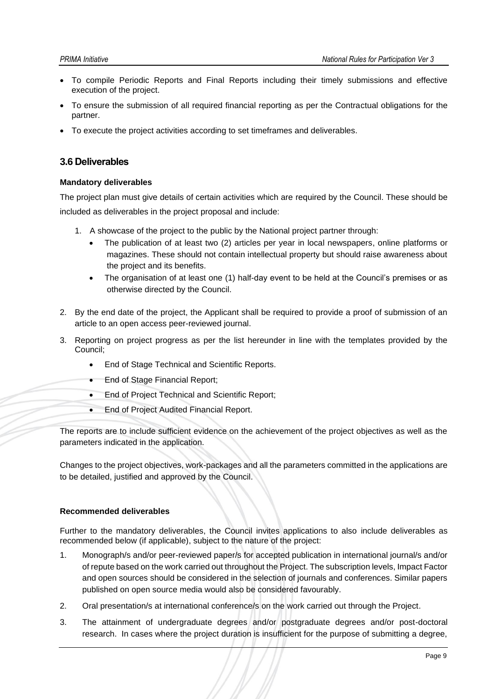- To compile Periodic Reports and Final Reports including their timely submissions and effective execution of the project.
- To ensure the submission of all required financial reporting as per the Contractual obligations for the partner.
- To execute the project activities according to set timeframes and deliverables.

#### <span id="page-9-0"></span>**3.6 Deliverables**

#### **Mandatory deliverables**

The project plan must give details of certain activities which are required by the Council. These should be included as deliverables in the project proposal and include:

- 1. A showcase of the project to the public by the National project partner through:
	- The publication of at least two (2) articles per year in local newspapers, online platforms or magazines. These should not contain intellectual property but should raise awareness about the project and its benefits.
	- The organisation of at least one (1) half-day event to be held at the Council's premises or as otherwise directed by the Council.
- 2. By the end date of the project, the Applicant shall be required to provide a proof of submission of an article to an open access peer-reviewed journal.
- 3. Reporting on project progress as per the list hereunder in line with the templates provided by the Council;
	- End of Stage Technical and Scientific Reports.
	- End of Stage Financial Report;
	- End of Project Technical and Scientific Report;
	- End of Project Audited Financial Report.

The reports are to include sufficient evidence on the achievement of the project objectives as well as the parameters indicated in the application.

Changes to the project objectives, work-packages and all the parameters committed in the applications are to be detailed, justified and approved by the Council.

#### **Recommended deliverables**

Further to the mandatory deliverables, the Council invites applications to also include deliverables as recommended below (if applicable), subject to the nature of the project:

- 1. Monograph/s and/or peer-reviewed paper/s for accepted publication in international journal/s and/or of repute based on the work carried out throughout the Project. The subscription levels, Impact Factor and open sources should be considered in the selection of journals and conferences. Similar papers published on open source media would also be considered favourably.
- 2. Oral presentation/s at international conference/s on the work carried out through the Project.
- 3. The attainment of undergraduate degrees and/or postgraduate degrees and/or post-doctoral research. In cases where the project duration is insufficient for the purpose of submitting a degree,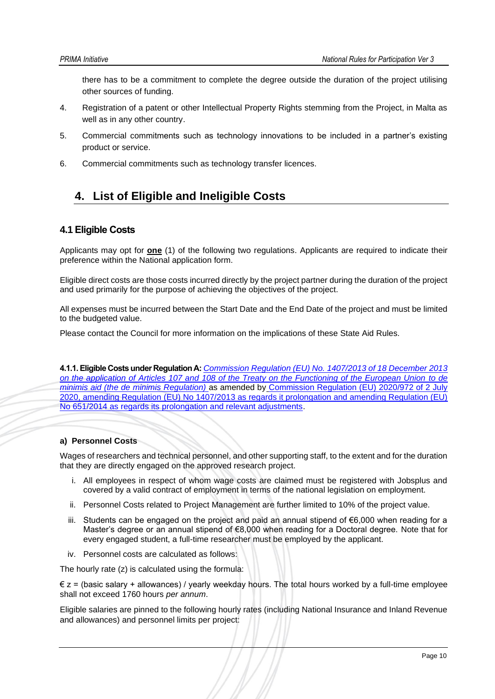there has to be a commitment to complete the degree outside the duration of the project utilising other sources of funding.

- 4. Registration of a patent or other Intellectual Property Rights stemming from the Project, in Malta as well as in any other country.
- 5. Commercial commitments such as technology innovations to be included in a partner's existing product or service.
- 6. Commercial commitments such as technology transfer licences.

### <span id="page-10-0"></span>**4. List of Eligible and Ineligible Costs**

#### <span id="page-10-1"></span>**4.1 Eligible Costs**

Applicants may opt for **one** (1) of the following two regulations. Applicants are required to indicate their preference within the National application form.

Eligible direct costs are those costs incurred directly by the project partner during the duration of the project and used primarily for the purpose of achieving the objectives of the project.

All expenses must be incurred between the Start Date and the End Date of the project and must be limited to the budgeted value.

Please contact the Council for more information on the implications of these State Aid Rules.

**4.1.1. Eligible Costs under RegulationA:** *[Commission Regulation \(EU\) No. 1407/2013 of 18 December 2013](http://ec.europa.eu/competition/state_aid/legislation/de_minimis_regulation_en.pdf)  [on the application of Articles 107 and 108 of the Treaty on the Functioning of the European Union to de](http://ec.europa.eu/competition/state_aid/legislation/de_minimis_regulation_en.pdf)  [minimis aid \(the de minimis Regulation\)](http://ec.europa.eu/competition/state_aid/legislation/de_minimis_regulation_en.pdf)* as amended by [Commission Regulation \(EU\) 2020/972 of 2 July](https://eur-lex.europa.eu/legal-content/EN/TXT/PDF/?uri=CELEX:32020R0972&from=EN)  [2020, amending Regulation \(EU\) No 1407/2013 as regards it prolongation and amending Regulation \(EU\)](https://eur-lex.europa.eu/legal-content/EN/TXT/PDF/?uri=CELEX:32020R0972&from=EN)  [No 651/2014 as regards its prolongation and relevant adjustments.](https://eur-lex.europa.eu/legal-content/EN/TXT/PDF/?uri=CELEX:32020R0972&from=EN)

#### **a) Personnel Costs**

Wages of researchers and technical personnel, and other supporting staff, to the extent and for the duration that they are directly engaged on the approved research project.

- i. All employees in respect of whom wage costs are claimed must be registered with Jobsplus and covered by a valid contract of employment in terms of the national legislation on employment.
- ii. Personnel Costs related to Project Management are further limited to 10% of the project value.
- iii. Students can be engaged on the project and paid an annual stipend of €6,000 when reading for a Master's degree or an annual stipend of €8,000 when reading for a Doctoral degree. Note that for every engaged student, a full-time researcher must be employed by the applicant.
- iv. Personnel costs are calculated as follows:

The hourly rate (z) is calculated using the formula:

 $\epsilon$  z = (basic salary + allowances) / yearly weekday hours. The total hours worked by a full-time employee shall not exceed 1760 hours *per annum*.

Eligible salaries are pinned to the following hourly rates (including National Insurance and Inland Revenue and allowances) and personnel limits per project: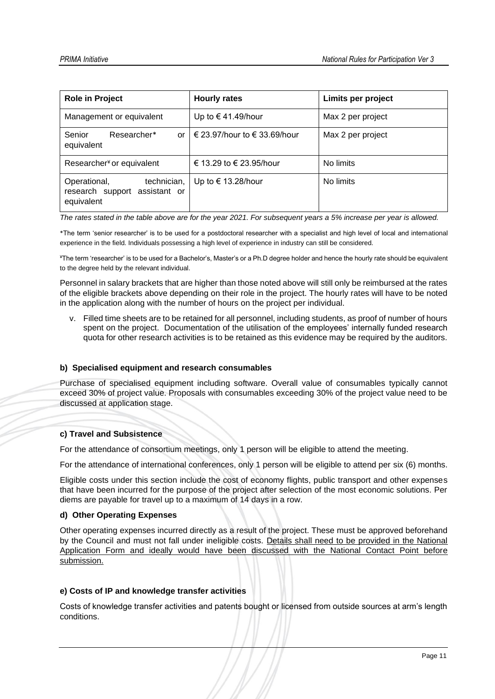| <b>Role in Project</b>                                                     | <b>Hourly rates</b>          | Limits per project |
|----------------------------------------------------------------------------|------------------------------|--------------------|
| Management or equivalent                                                   | Up to €41.49/hour            | Max 2 per project  |
| Senior<br>Researcher*<br>or<br>equivalent                                  | € 23.97/hour to € 33.69/hour | Max 2 per project  |
| Researcher <sup>¥</sup> or equivalent                                      | € 13.29 to € 23.95/hour      | No limits          |
| Operational,<br>technician,<br>research support assistant or<br>equivalent | Up to $\in$ 13.28/hour       | No limits          |

*The rates stated in the table above are for the year 2021. For subsequent years a 5% increase per year is allowed.* 

\*The term 'senior researcher' is to be used for a postdoctoral researcher with a specialist and high level of local and international experience in the field. Individuals possessing a high level of experience in industry can still be considered.

¥The term 'researcher' is to be used for a Bachelor's, Master's or a Ph.D degree holder and hence the hourly rate should be equivalent to the degree held by the relevant individual.

Personnel in salary brackets that are higher than those noted above will still only be reimbursed at the rates of the eligible brackets above depending on their role in the project. The hourly rates will have to be noted in the application along with the number of hours on the project per individual.

v. Filled time sheets are to be retained for all personnel, including students, as proof of number of hours spent on the project. Documentation of the utilisation of the employees' internally funded research quota for other research activities is to be retained as this evidence may be required by the auditors.

#### **b) Specialised equipment and research consumables**

Purchase of specialised equipment including software. Overall value of consumables typically cannot exceed 30% of project value. Proposals with consumables exceeding 30% of the project value need to be discussed at application stage.

#### **c) Travel and Subsistence**

For the attendance of consortium meetings, only 1 person will be eligible to attend the meeting.

For the attendance of international conferences, only 1 person will be eligible to attend per six (6) months.

Eligible costs under this section include the cost of economy flights, public transport and other expenses that have been incurred for the purpose of the project after selection of the most economic solutions. Per diems are payable for travel up to a maximum of 14 days in a row.

#### **d) Other Operating Expenses**

Other operating expenses incurred directly as a result of the project. These must be approved beforehand by the Council and must not fall under ineligible costs. Details shall need to be provided in the National Application Form and ideally would have been discussed with the National Contact Point before submission.

#### **e) Costs of IP and knowledge transfer activities**

Costs of knowledge transfer activities and patents bought or licensed from outside sources at arm's length conditions.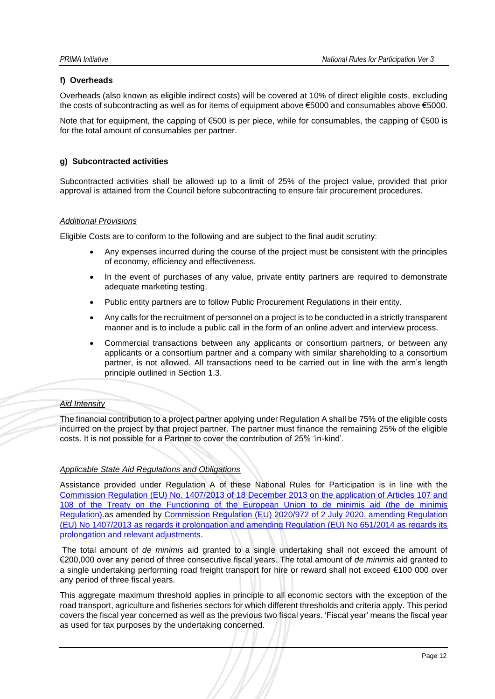#### **f) Overheads**

Overheads (also known as eligible indirect costs) will be covered at 10% of direct eligible costs, excluding the costs of subcontracting as well as for items of equipment above €5000 and consumables above €5000.

Note that for equipment, the capping of €500 is per piece, while for consumables, the capping of €500 is for the total amount of consumables per partner.

#### **g) Subcontracted activities**

Subcontracted activities shall be allowed up to a limit of 25% of the project value, provided that prior approval is attained from the Council before subcontracting to ensure fair procurement procedures.

#### *Additional Provisions*

Eligible Costs are to conform to the following and are subject to the final audit scrutiny:

- Any expenses incurred during the course of the project must be consistent with the principles of economy, efficiency and effectiveness.
- In the event of purchases of any value, private entity partners are required to demonstrate adequate marketing testing.
- Public entity partners are to follow Public Procurement Regulations in their entity.
- Any calls for the recruitment of personnel on a project is to be conducted in a strictly transparent manner and is to include a public call in the form of an online advert and interview process.
- Commercial transactions between any applicants or consortium partners, or between any applicants or a consortium partner and a company with similar shareholding to a consortium partner, is not allowed. All transactions need to be carried out in line with the arm's length principle outlined in Section 1.3.

#### *Aid Intensity*

The financial contribution to a project partner applying under Regulation A shall be 75% of the eligible costs incurred on the project by that project partner. The partner must finance the remaining 25% of the eligible costs. It is not possible for a Partner to cover the contribution of 25% 'in-kind'.

#### *Applicable State Aid Regulations and Obligations*

Assistance provided under Regulation A of these National Rules for Participation is in line with the [Commission Regulation \(EU\) No. 1407/2013 of 18 December 2013 on the application of Articles 107 and](http://ec.europa.eu/competition/state_aid/legislation/de_minimis_regulation_en.pdf)  [108 of the Treaty on the Functioning of the European Union to de minimis aid \(the de minimis](http://ec.europa.eu/competition/state_aid/legislation/de_minimis_regulation_en.pdf)  [Regulation\).a](http://ec.europa.eu/competition/state_aid/legislation/de_minimis_regulation_en.pdf)s amended by [Commission Regulation \(EU\) 2020/972 of 2 July 2020, amending Regulation](https://eur-lex.europa.eu/legal-content/EN/TXT/PDF/?uri=CELEX:32020R0972&from=EN)  [\(EU\) No 1407/2013 as regards it prolongation and amending Regulation \(EU\) No 651/2014 as regards its](https://eur-lex.europa.eu/legal-content/EN/TXT/PDF/?uri=CELEX:32020R0972&from=EN)  [prolongation and relevant adjustments.](https://eur-lex.europa.eu/legal-content/EN/TXT/PDF/?uri=CELEX:32020R0972&from=EN)

The total amount of *de minimis* aid granted to a single undertaking shall not exceed the amount of €200,000 over any period of three consecutive fiscal years. The total amount of *de minimis* aid granted to a single undertaking performing road freight transport for hire or reward shall not exceed €100 000 over any period of three fiscal years.

This aggregate maximum threshold applies in principle to all economic sectors with the exception of the road transport, agriculture and fisheries sectors for which different thresholds and criteria apply. This period covers the fiscal year concerned as well as the previous two fiscal years. 'Fiscal year' means the fiscal year as used for tax purposes by the undertaking concerned.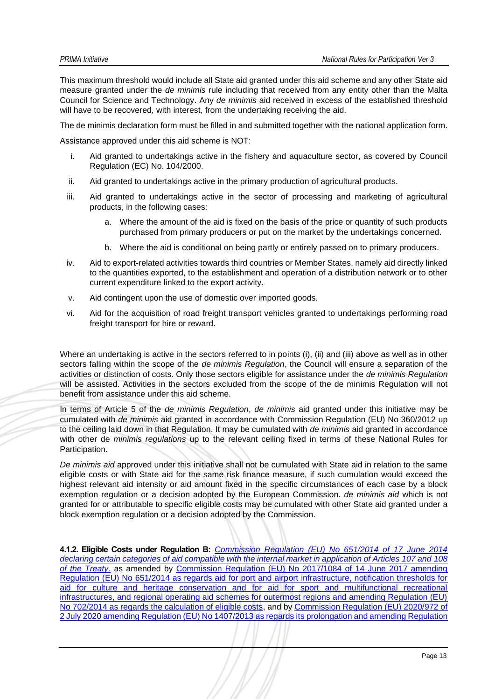This maximum threshold would include all State aid granted under this aid scheme and any other State aid measure granted under the *de minimis* rule including that received from any entity other than the Malta Council for Science and Technology. Any *de minimis* aid received in excess of the established threshold will have to be recovered, with interest, from the undertaking receiving the aid.

The de minimis declaration form must be filled in and submitted together with the national application form.

Assistance approved under this aid scheme is NOT:

- i. Aid granted to undertakings active in the fishery and aquaculture sector, as covered by Council Regulation (EC) No. 104/2000.
- ii. Aid granted to undertakings active in the primary production of agricultural products.
- iii. Aid granted to undertakings active in the sector of processing and marketing of agricultural products, in the following cases:
	- a. Where the amount of the aid is fixed on the basis of the price or quantity of such products purchased from primary producers or put on the market by the undertakings concerned.
	- b. Where the aid is conditional on being partly or entirely passed on to primary producers.
- iv. Aid to export-related activities towards third countries or Member States, namely aid directly linked to the quantities exported, to the establishment and operation of a distribution network or to other current expenditure linked to the export activity.
- v. Aid contingent upon the use of domestic over imported goods.
- vi. Aid for the acquisition of road freight transport vehicles granted to undertakings performing road freight transport for hire or reward.

Where an undertaking is active in the sectors referred to in points (i), (ii) and (iii) above as well as in other sectors falling within the scope of the *de minimis Regulation*, the Council will ensure a separation of the activities or distinction of costs. Only those sectors eligible for assistance under the *de minimis Regulation* will be assisted. Activities in the sectors excluded from the scope of the de minimis Regulation will not benefit from assistance under this aid scheme.

In terms of Article 5 of the *de minimis Regulation*, *de minimis* aid granted under this initiative may be cumulated with *de minimis* aid granted in accordance with Commission Regulation (EU) No 360/2012 up to the ceiling laid down in that Regulation. It may be cumulated with *de minimis* aid granted in accordance with other de *minimis regulations* up to the relevant ceiling fixed in terms of these National Rules for Participation.

*De minimis aid* approved under this initiative shall not be cumulated with State aid in relation to the same eligible costs or with State aid for the same risk finance measure, if such cumulation would exceed the highest relevant aid intensity or aid amount fixed in the specific circumstances of each case by a block exemption regulation or a decision adopted by the European Commission. *de minimis aid* which is not granted for or attributable to specific eligible costs may be cumulated with other State aid granted under a block exemption regulation or a decision adopted by the Commission.

**4.1.2. Eligible Costs under Regulation B:** *[Commission Regulation \(EU\) No 651/2014 of 17 June 2014](https://eur-lex.europa.eu/legal-content/EN/TXT/PDF/?uri=CELEX:32014R0651&from=EN)  [declaring certain categories of aid compatible with the internal market in application of Articles 107 and](https://eur-lex.europa.eu/legal-content/EN/TXT/PDF/?uri=CELEX:32014R0651&from=EN) 108 [of the Treaty.](https://eur-lex.europa.eu/legal-content/EN/TXT/PDF/?uri=CELEX:32014R0651&from=EN)* as amended by [Commission Regulation \(EU\) No 2017/1084 of 14 June 2017 amending](https://eur-lex.europa.eu/legal-content/EN/TXT/PDF/?uri=CELEX:32017R1084&from=EN)  [Regulation \(EU\) No 651/2014 as regards aid for port and airport infrastructure, notification thresholds for](https://eur-lex.europa.eu/legal-content/EN/TXT/PDF/?uri=CELEX:32017R1084&from=EN)  [aid for culture and heritage conservation and for aid for sport and multifunctional recreational](https://eur-lex.europa.eu/legal-content/EN/TXT/PDF/?uri=CELEX:32017R1084&from=EN)  [infrastructures, and regional operating aid schemes for outermost regions and amending Regulation \(EU\)](https://eur-lex.europa.eu/legal-content/EN/TXT/PDF/?uri=CELEX:32017R1084&from=EN)  [No 702/2014 as regards the calculation of eligible costs,](https://eur-lex.europa.eu/legal-content/EN/TXT/PDF/?uri=CELEX:32017R1084&from=EN) and by [Commission Regulation \(EU\) 2020/972 of](https://eur-lex.europa.eu/legal-content/EN/TXT/PDF/?uri=CELEX:32020R0972&from=EN)  [2 July 2020 amending Regulation \(EU\) No 1407/2013 as regards its prolongation and amending Regulation](https://eur-lex.europa.eu/legal-content/EN/TXT/PDF/?uri=CELEX:32020R0972&from=EN)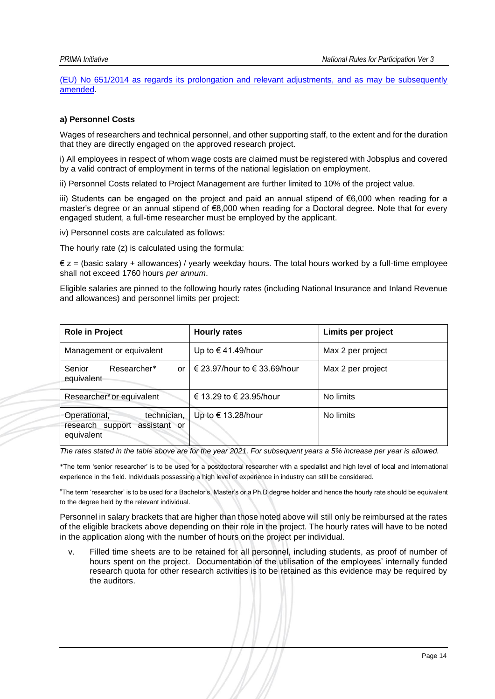[\(EU\) No 651/2014 as regards its prolongation and relevant adjustments, and as may be subsequently](https://eur-lex.europa.eu/legal-content/EN/TXT/PDF/?uri=CELEX:32020R0972&from=EN)  [amended.](https://eur-lex.europa.eu/legal-content/EN/TXT/PDF/?uri=CELEX:32020R0972&from=EN)

#### **a) Personnel Costs**

Wages of researchers and technical personnel, and other supporting staff, to the extent and for the duration that they are directly engaged on the approved research project.

i) All employees in respect of whom wage costs are claimed must be registered with Jobsplus and covered by a valid contract of employment in terms of the national legislation on employment.

ii) Personnel Costs related to Project Management are further limited to 10% of the project value.

iii) Students can be engaged on the project and paid an annual stipend of €6,000 when reading for a master's degree or an annual stipend of €8,000 when reading for a Doctoral degree. Note that for every engaged student, a full-time researcher must be employed by the applicant.

iv) Personnel costs are calculated as follows:

The hourly rate (z) is calculated using the formula:

 $\epsilon$  z = (basic salary + allowances) / yearly weekday hours. The total hours worked by a full-time employee shall not exceed 1760 hours *per annum*.

Eligible salaries are pinned to the following hourly rates (including National Insurance and Inland Revenue and allowances) and personnel limits per project:

| <b>Role in Project</b>                                                        | <b>Hourly rates</b>          | Limits per project |  |
|-------------------------------------------------------------------------------|------------------------------|--------------------|--|
| Management or equivalent                                                      | Up to $\in$ 41.49/hour       | Max 2 per project  |  |
| Senior<br>Researcher*<br>or<br>equivalent                                     | € 23.97/hour to € 33.69/hour | Max 2 per project  |  |
| Researcher <sup>¥</sup> or equivalent                                         | € 13.29 to € 23.95/hour      | No limits          |  |
| technician,<br>Operational,<br>assistant or<br>research support<br>equivalent | Up to $\in$ 13.28/hour       | No limits          |  |

*The rates stated in the table above are for the year 2021. For subsequent years a 5% increase per year is allowed.* 

\*The term 'senior researcher' is to be used for a postdoctoral researcher with a specialist and high level of local and international experience in the field. Individuals possessing a high level of experience in industry can still be considered.

¥The term 'researcher' is to be used for a Bachelor's, Master's or a Ph.D degree holder and hence the hourly rate should be equivalent to the degree held by the relevant individual.

Personnel in salary brackets that are higher than those noted above will still only be reimbursed at the rates of the eligible brackets above depending on their role in the project. The hourly rates will have to be noted in the application along with the number of hours on the project per individual.

v. Filled time sheets are to be retained for all personnel, including students, as proof of number of hours spent on the project. Documentation of the utilisation of the employees' internally funded research quota for other research activities is to be retained as this evidence may be required by the auditors.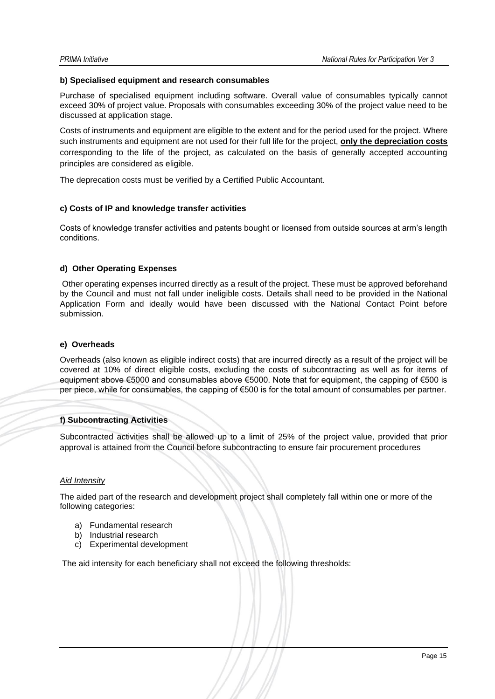#### **b) Specialised equipment and research consumables**

Purchase of specialised equipment including software. Overall value of consumables typically cannot exceed 30% of project value. Proposals with consumables exceeding 30% of the project value need to be discussed at application stage.

Costs of instruments and equipment are eligible to the extent and for the period used for the project. Where such instruments and equipment are not used for their full life for the project, **only the depreciation costs** corresponding to the life of the project, as calculated on the basis of generally accepted accounting principles are considered as eligible.

The deprecation costs must be verified by a Certified Public Accountant.

#### **c) Costs of IP and knowledge transfer activities**

Costs of knowledge transfer activities and patents bought or licensed from outside sources at arm's length conditions.

#### **d) Other Operating Expenses**

Other operating expenses incurred directly as a result of the project. These must be approved beforehand by the Council and must not fall under ineligible costs. Details shall need to be provided in the National Application Form and ideally would have been discussed with the National Contact Point before submission.

#### **e) Overheads**

Overheads (also known as eligible indirect costs) that are incurred directly as a result of the project will be covered at 10% of direct eligible costs, excluding the costs of subcontracting as well as for items of equipment above €5000 and consumables above €5000. Note that for equipment, the capping of €500 is per piece, while for consumables, the capping of €500 is for the total amount of consumables per partner.

#### **f) Subcontracting Activities**

Subcontracted activities shall be allowed up to a limit of 25% of the project value, provided that prior approval is attained from the Council before subcontracting to ensure fair procurement procedures

#### *Aid Intensity*

The aided part of the research and development project shall completely fall within one or more of the following categories:

- a) Fundamental research
- b) Industrial research
- c) Experimental development

The aid intensity for each beneficiary shall not exceed the following thresholds: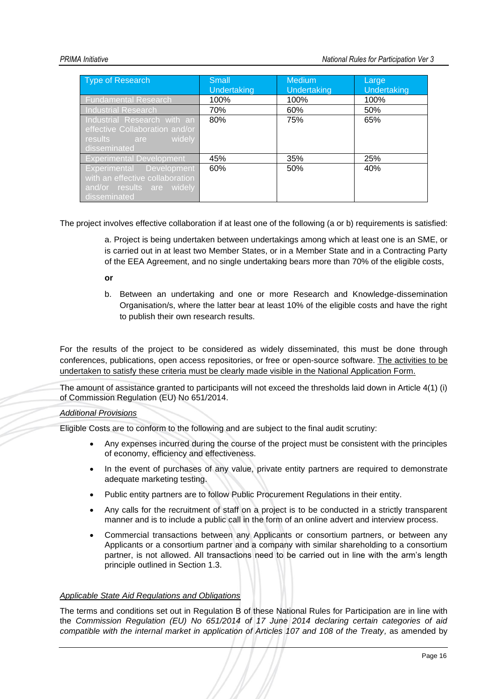| Type of Research                                                                                                | <b>Small</b><br>Undertaking | <b>Medium</b><br>Undertaking | Large<br><b>Undertaking</b> |
|-----------------------------------------------------------------------------------------------------------------|-----------------------------|------------------------------|-----------------------------|
| Fundamental Research                                                                                            | 100%                        | 100%                         | 100%                        |
| Industrial Research                                                                                             | 70%                         | 60%                          | 50%                         |
| Industrial Research with an<br>effective Collaboration and/or<br>widely<br>results<br>are and a<br>disseminated | 80%                         | 75%                          | 65%                         |
| <b>Experimental Development</b>                                                                                 | 45%                         | 35%                          | 25%                         |
| Experimental Development<br>with an effective collaboration<br>and/or results are widely<br>disseminated        | 60%                         | 50%                          | 40%                         |

The project involves effective collaboration if at least one of the following (a or b) requirements is satisfied:

- a. Project is being undertaken between undertakings among which at least one is an SME, or is carried out in at least two Member States, or in a Member State and in a Contracting Party of the EEA Agreement, and no single undertaking bears more than 70% of the eligible costs,
- **or**
- b. Between an undertaking and one or more Research and Knowledge-dissemination Organisation/s, where the latter bear at least 10% of the eligible costs and have the right to publish their own research results.

For the results of the project to be considered as widely disseminated, this must be done through conferences, publications, open access repositories, or free or open-source software. The activities to be undertaken to satisfy these criteria must be clearly made visible in the National Application Form.

The amount of assistance granted to participants will not exceed the thresholds laid down in Article 4(1) (i) of Commission Regulation (EU) No 651/2014.

#### *Additional Provisions*

Eligible Costs are to conform to the following and are subject to the final audit scrutiny:

- Any expenses incurred during the course of the project must be consistent with the principles of economy, efficiency and effectiveness.
- In the event of purchases of any value, private entity partners are required to demonstrate adequate marketing testing.
- Public entity partners are to follow Public Procurement Regulations in their entity.
- Any calls for the recruitment of staff on a project is to be conducted in a strictly transparent manner and is to include a public call in the form of an online advert and interview process.
- Commercial transactions between any Applicants or consortium partners, or between any Applicants or a consortium partner and a company with similar shareholding to a consortium partner, is not allowed. All transactions need to be carried out in line with the arm's length principle outlined in Section 1.3.

#### *Applicable State Aid Regulations and Obligations*

The terms and conditions set out in Regulation B of these National Rules for Participation are in line with the *Commission Regulation (EU) No 651/2014 of 17 June 2014 declaring certain categories of aid*  compatible with the internal market in application of Articles 107 and 108 of the Treaty, as amended by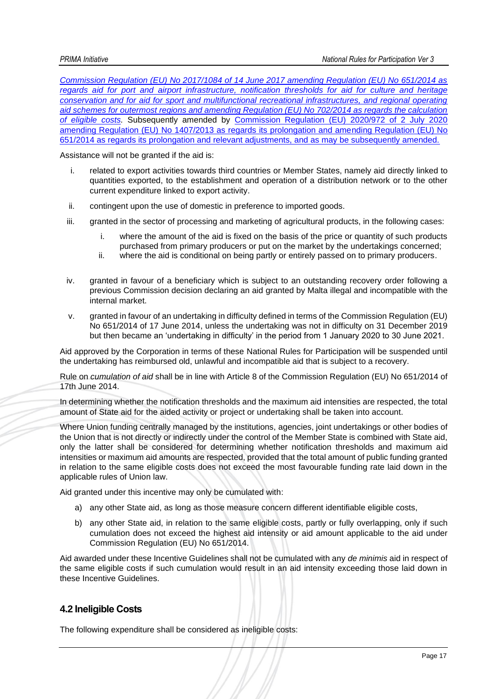*[Commission Regulation \(EU\) No 2017/1084 of 14 June 2017 amending Regulation \(EU\) No 651/2014 as](https://eur-lex.europa.eu/legal-content/EN/TXT/PDF/?uri=CELEX:32017R1084&from=EN)  [regards aid for port and airport infrastructure, notification thresholds for aid for culture and heritage](https://eur-lex.europa.eu/legal-content/EN/TXT/PDF/?uri=CELEX:32017R1084&from=EN)  [conservation and for aid for sport and multifunctional recreational infrastructures, and regional operating](https://eur-lex.europa.eu/legal-content/EN/TXT/PDF/?uri=CELEX:32017R1084&from=EN)  [aid schemes for outermost regions and amending Regulation \(EU\) No 702/2014 as regards the calculation](https://eur-lex.europa.eu/legal-content/EN/TXT/PDF/?uri=CELEX:32017R1084&from=EN)  [of eligible costs.](https://eur-lex.europa.eu/legal-content/EN/TXT/PDF/?uri=CELEX:32017R1084&from=EN)* [Subsequently amended by Commission Regulation \(EU\) 2020/972 of 2 July 2020](https://eur-lex.europa.eu/legal-content/EN/TXT/PDF/?uri=CELEX:32020R0972&from=EN)  [amending Regulation \(EU\) No 1407/2013 as regards its prolongation and amending Regulation \(EU\) No](https://eur-lex.europa.eu/legal-content/EN/TXT/PDF/?uri=CELEX:32020R0972&from=EN)  [651/2014 as regards its prolongation and relevant adjustments, and as may be subsequently amended.](https://eur-lex.europa.eu/legal-content/EN/TXT/PDF/?uri=CELEX:32020R0972&from=EN)

Assistance will not be granted if the aid is:

- i. related to export activities towards third countries or Member States, namely aid directly linked to quantities exported, to the establishment and operation of a distribution network or to the other current expenditure linked to export activity.
- ii. contingent upon the use of domestic in preference to imported goods.
- iii. granted in the sector of processing and marketing of agricultural products, in the following cases:
	- i. where the amount of the aid is fixed on the basis of the price or quantity of such products purchased from primary producers or put on the market by the undertakings concerned;
	- ii. where the aid is conditional on being partly or entirely passed on to primary producers.
- iv. granted in favour of a beneficiary which is subject to an outstanding recovery order following a previous Commission decision declaring an aid granted by Malta illegal and incompatible with the internal market.
- v. granted in favour of an undertaking in difficulty defined in terms of the Commission Regulation (EU) No 651/2014 of 17 June 2014, unless the undertaking was not in difficulty on 31 December 2019 but then became an 'undertaking in difficulty' in the period from 1 January 2020 to 30 June 2021.

Aid approved by the Corporation in terms of these National Rules for Participation will be suspended until the undertaking has reimbursed old, unlawful and incompatible aid that is subject to a recovery.

Rule on *cumulation of aid* shall be in line with Article 8 of the Commission Regulation (EU) No 651/2014 of 17th June 2014.

In determining whether the notification thresholds and the maximum aid intensities are respected, the total amount of State aid for the aided activity or project or undertaking shall be taken into account.

Where Union funding centrally managed by the institutions, agencies, joint undertakings or other bodies of the Union that is not directly or indirectly under the control of the Member State is combined with State aid, only the latter shall be considered for determining whether notification thresholds and maximum aid intensities or maximum aid amounts are respected, provided that the total amount of public funding granted in relation to the same eligible costs does not exceed the most favourable funding rate laid down in the applicable rules of Union law.

Aid granted under this incentive may only be cumulated with:

- a) any other State aid, as long as those measure concern different identifiable eligible costs,
- b) any other State aid, in relation to the same eligible costs, partly or fully overlapping, only if such cumulation does not exceed the highest aid intensity or aid amount applicable to the aid under Commission Regulation (EU) No 651/2014.

Aid awarded under these Incentive Guidelines shall not be cumulated with any *de minimis* aid in respect of the same eligible costs if such cumulation would result in an aid intensity exceeding those laid down in these Incentive Guidelines.

#### <span id="page-17-0"></span>**4.2 Ineligible Costs**

The following expenditure shall be considered as ineligible costs: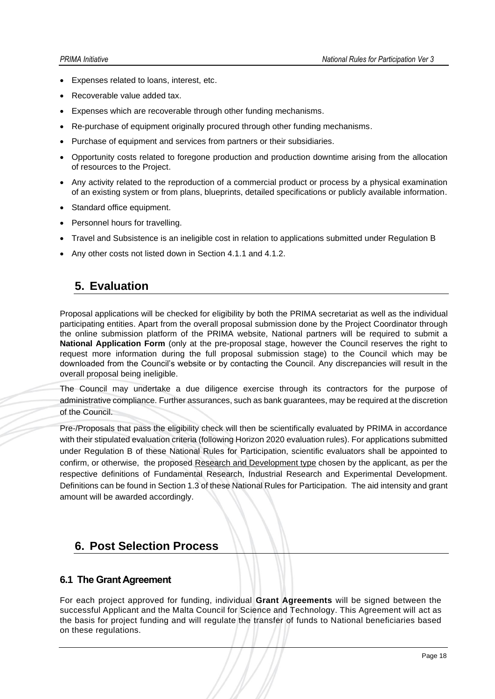- Expenses related to loans, interest, etc.
- Recoverable value added tax.
- Expenses which are recoverable through other funding mechanisms.
- Re-purchase of equipment originally procured through other funding mechanisms.
- Purchase of equipment and services from partners or their subsidiaries.
- Opportunity costs related to foregone production and production downtime arising from the allocation of resources to the Project.
- Any activity related to the reproduction of a commercial product or process by a physical examination of an existing system or from plans, blueprints, detailed specifications or publicly available information.
- Standard office equipment.
- Personnel hours for travelling.
- Travel and Subsistence is an ineligible cost in relation to applications submitted under Regulation B
- Any other costs not listed down in Section 4.1.1 and 4.1.2.

### <span id="page-18-0"></span>**5. Evaluation**

Proposal applications will be checked for eligibility by both the PRIMA secretariat as well as the individual participating entities. Apart from the overall proposal submission done by the Project Coordinator through the online submission platform of the PRIMA website, National partners will be required to submit a **National Application Form** (only at the pre-proposal stage, however the Council reserves the right to request more information during the full proposal submission stage) to the Council which may be downloaded from the Council's website or by contacting the Council. Any discrepancies will result in the overall proposal being ineligible.

The Council may undertake a due diligence exercise through its contractors for the purpose of administrative compliance. Further assurances, such as bank guarantees, may be required at the discretion of the Council.

Pre-/Proposals that pass the eligibility check will then be scientifically evaluated by PRIMA in accordance with their stipulated evaluation criteria (following Horizon 2020 evaluation rules). For applications submitted under Regulation B of these National Rules for Participation, scientific evaluators shall be appointed to confirm, or otherwise, the proposed Research and Development type chosen by the applicant, as per the respective definitions of Fundamental Research, Industrial Research and Experimental Development. Definitions can be found in Section 1.3 of these National Rules for Participation. The aid intensity and grant amount will be awarded accordingly.

### <span id="page-18-1"></span>**6. Post Selection Process**

#### <span id="page-18-2"></span>**6.1 The Grant Agreement**

For each project approved for funding, individual **Grant Agreements** will be signed between the successful Applicant and the Malta Council for Science and Technology. This Agreement will act as the basis for project funding and will regulate the transfer of funds to National beneficiaries based on these regulations.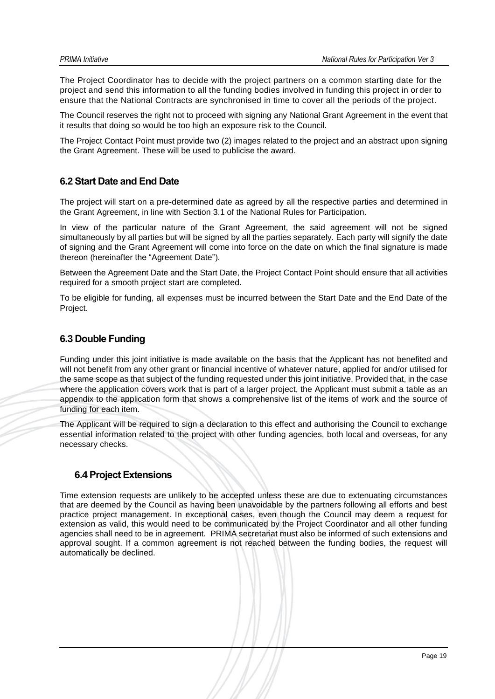The Project Coordinator has to decide with the project partners on a common starting date for the project and send this information to all the funding bodies involved in funding this project in or der to ensure that the National Contracts are synchronised in time to cover all the periods of the project.

The Council reserves the right not to proceed with signing any National Grant Agreement in the event that it results that doing so would be too high an exposure risk to the Council.

The Project Contact Point must provide two (2) images related to the project and an abstract upon signing the Grant Agreement. These will be used to publicise the award.

#### <span id="page-19-0"></span>**6.2 Start Date and End Date**

The project will start on a pre-determined date as agreed by all the respective parties and determined in the Grant Agreement, in line with Section 3.1 of the National Rules for Participation.

In view of the particular nature of the Grant Agreement, the said agreement will not be signed simultaneously by all parties but will be signed by all the parties separately. Each party will signify the date of signing and the Grant Agreement will come into force on the date on which the final signature is made thereon (hereinafter the "Agreement Date").

Between the Agreement Date and the Start Date, the Project Contact Point should ensure that all activities required for a smooth project start are completed.

To be eligible for funding, all expenses must be incurred between the Start Date and the End Date of the Project.

#### <span id="page-19-1"></span>**6.3 Double Funding**

Funding under this joint initiative is made available on the basis that the Applicant has not benefited and will not benefit from any other grant or financial incentive of whatever nature, applied for and/or utilised for the same scope as that subject of the funding requested under this joint initiative. Provided that, in the case where the application covers work that is part of a larger project, the Applicant must submit a table as an appendix to the application form that shows a comprehensive list of the items of work and the source of funding for each item.

The Applicant will be required to sign a declaration to this effect and authorising the Council to exchange essential information related to the project with other funding agencies, both local and overseas, for any necessary checks.

### **6.4 Project Extensions**

Time extension requests are unlikely to be accepted unless these are due to extenuating circumstances that are deemed by the Council as having been unavoidable by the partners following all efforts and best practice project management. In exceptional cases, even though the Council may deem a request for extension as valid, this would need to be communicated by the Project Coordinator and all other funding agencies shall need to be in agreement. PRIMA secretariat must also be informed of such extensions and approval sought. If a common agreement is not reached between the funding bodies, the request will automatically be declined.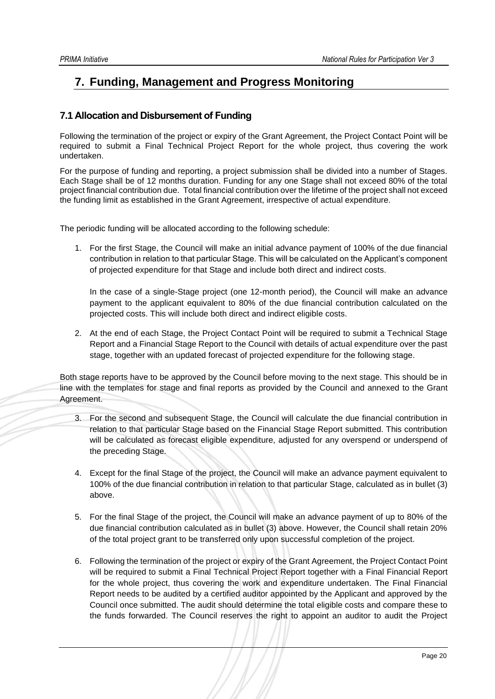### <span id="page-20-0"></span>**7. Funding, Management and Progress Monitoring**

#### <span id="page-20-1"></span>**7.1 Allocation and Disbursement of Funding**

Following the termination of the project or expiry of the Grant Agreement, the Project Contact Point will be required to submit a Final Technical Project Report for the whole project, thus covering the work undertaken.

For the purpose of funding and reporting, a project submission shall be divided into a number of Stages. Each Stage shall be of 12 months duration. Funding for any one Stage shall not exceed 80% of the total project financial contribution due. Total financial contribution over the lifetime of the project shall not exceed the funding limit as established in the Grant Agreement, irrespective of actual expenditure.

The periodic funding will be allocated according to the following schedule:

1. For the first Stage, the Council will make an initial advance payment of 100% of the due financial contribution in relation to that particular Stage. This will be calculated on the Applicant's component of projected expenditure for that Stage and include both direct and indirect costs.

In the case of a single-Stage project (one 12-month period), the Council will make an advance payment to the applicant equivalent to 80% of the due financial contribution calculated on the projected costs. This will include both direct and indirect eligible costs.

2. At the end of each Stage, the Project Contact Point will be required to submit a Technical Stage Report and a Financial Stage Report to the Council with details of actual expenditure over the past stage, together with an updated forecast of projected expenditure for the following stage.

Both stage reports have to be approved by the Council before moving to the next stage. This should be in line with the templates for stage and final reports as provided by the Council and annexed to the Grant Agreement.

- 3. For the second and subsequent Stage, the Council will calculate the due financial contribution in relation to that particular Stage based on the Financial Stage Report submitted. This contribution will be calculated as forecast eligible expenditure, adjusted for any overspend or underspend of the preceding Stage.
- 4. Except for the final Stage of the project, the Council will make an advance payment equivalent to 100% of the due financial contribution in relation to that particular Stage, calculated as in bullet (3) above.
- 5. For the final Stage of the project, the Council will make an advance payment of up to 80% of the due financial contribution calculated as in bullet (3) above. However, the Council shall retain 20% of the total project grant to be transferred only upon successful completion of the project.
- 6. Following the termination of the project or expiry of the Grant Agreement, the Project Contact Point will be required to submit a Final Technical Project Report together with a Final Financial Report for the whole project, thus covering the work and expenditure undertaken. The Final Financial Report needs to be audited by a certified auditor appointed by the Applicant and approved by the Council once submitted. The audit should determine the total eligible costs and compare these to the funds forwarded. The Council reserves the right to appoint an auditor to audit the Project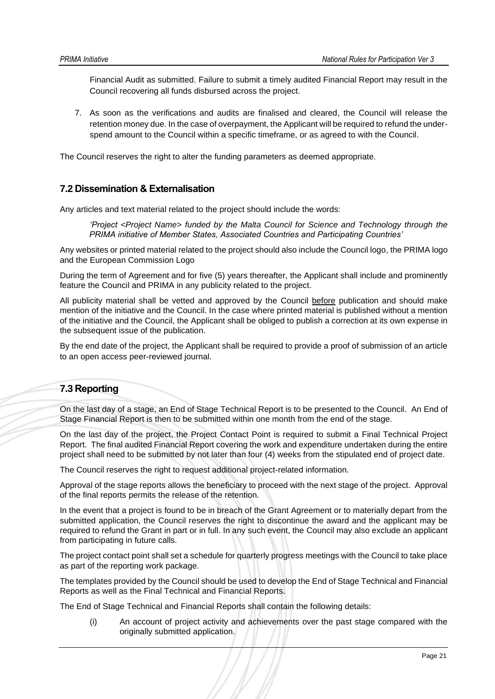Financial Audit as submitted. Failure to submit a timely audited Financial Report may result in the Council recovering all funds disbursed across the project.

7. As soon as the verifications and audits are finalised and cleared, the Council will release the retention money due. In the case of overpayment, the Applicant will be required to refund the underspend amount to the Council within a specific timeframe, or as agreed to with the Council.

The Council reserves the right to alter the funding parameters as deemed appropriate.

#### <span id="page-21-0"></span>**7.2 Dissemination & Externalisation**

Any articles and text material related to the project should include the words:

*'Project <Project Name> funded by the Malta Council for Science and Technology through the PRIMA initiative of Member States, Associated Countries and Participating Countries'*

Any websites or printed material related to the project should also include the Council logo, the PRIMA logo and the European Commission Logo

During the term of Agreement and for five (5) years thereafter, the Applicant shall include and prominently feature the Council and PRIMA in any publicity related to the project.

All publicity material shall be vetted and approved by the Council before publication and should make mention of the initiative and the Council. In the case where printed material is published without a mention of the initiative and the Council, the Applicant shall be obliged to publish a correction at its own expense in the subsequent issue of the publication.

By the end date of the project, the Applicant shall be required to provide a proof of submission of an article to an open access peer-reviewed journal.

#### <span id="page-21-1"></span>**7.3 Reporting**

On the last day of a stage, an End of Stage Technical Report is to be presented to the Council. An End of Stage Financial Report is then to be submitted within one month from the end of the stage.

On the last day of the project, the Project Contact Point is required to submit a Final Technical Project Report. The final audited Financial Report covering the work and expenditure undertaken during the entire project shall need to be submitted by not later than four (4) weeks from the stipulated end of project date.

The Council reserves the right to request additional project-related information.

Approval of the stage reports allows the beneficiary to proceed with the next stage of the project. Approval of the final reports permits the release of the retention.

In the event that a project is found to be in breach of the Grant Agreement or to materially depart from the submitted application, the Council reserves the right to discontinue the award and the applicant may be required to refund the Grant in part or in full. In any such event, the Council may also exclude an applicant from participating in future calls.

The project contact point shall set a schedule for quarterly progress meetings with the Council to take place as part of the reporting work package.

The templates provided by the Council should be used to develop the End of Stage Technical and Financial Reports as well as the Final Technical and Financial Reports.

The End of Stage Technical and Financial Reports shall contain the following details:

(i) An account of project activity and achievements over the past stage compared with the originally submitted application.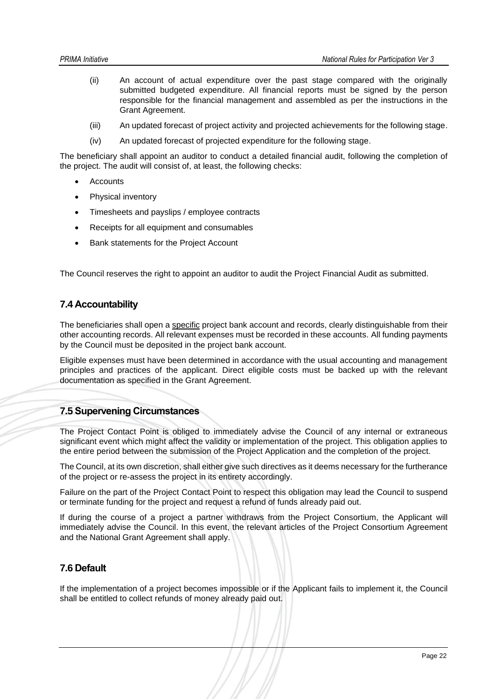- (ii) An account of actual expenditure over the past stage compared with the originally submitted budgeted expenditure. All financial reports must be signed by the person responsible for the financial management and assembled as per the instructions in the Grant Agreement.
- (iii) An updated forecast of project activity and projected achievements for the following stage.
- (iv) An updated forecast of projected expenditure for the following stage.

The beneficiary shall appoint an auditor to conduct a detailed financial audit, following the completion of the project. The audit will consist of, at least, the following checks:

- **Accounts**
- Physical inventory
- Timesheets and payslips / employee contracts
- Receipts for all equipment and consumables
- Bank statements for the Project Account

<span id="page-22-0"></span>The Council reserves the right to appoint an auditor to audit the Project Financial Audit as submitted.

#### **7.4 Accountability**

The beneficiaries shall open a specific project bank account and records, clearly distinguishable from their other accounting records. All relevant expenses must be recorded in these accounts. All funding payments by the Council must be deposited in the project bank account.

Eligible expenses must have been determined in accordance with the usual accounting and management principles and practices of the applicant. Direct eligible costs must be backed up with the relevant documentation as specified in the Grant Agreement.

#### <span id="page-22-1"></span>**7.5 Supervening Circumstances**

The Project Contact Point is obliged to immediately advise the Council of any internal or extraneous significant event which might affect the validity or implementation of the project. This obligation applies to the entire period between the submission of the Project Application and the completion of the project.

The Council, at its own discretion, shall either give such directives as it deems necessary for the furtherance of the project or re-assess the project in its entirety accordingly.

Failure on the part of the Project Contact Point to respect this obligation may lead the Council to suspend or terminate funding for the project and request a refund of funds already paid out.

If during the course of a project a partner withdraws from the Project Consortium, the Applicant will immediately advise the Council. In this event, the relevant articles of the Project Consortium Agreement and the National Grant Agreement shall apply.

#### <span id="page-22-2"></span>**7.6 Default**

If the implementation of a project becomes impossible or if the Applicant fails to implement it, the Council shall be entitled to collect refunds of money already paid out.